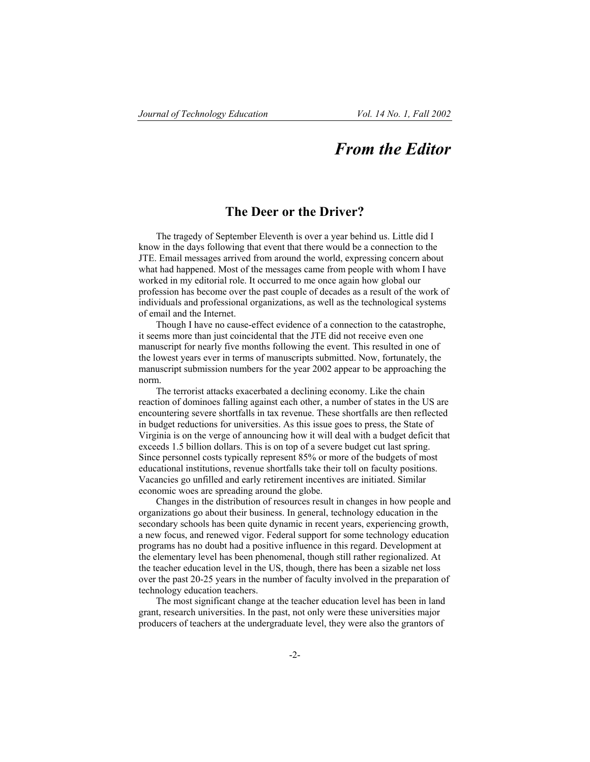## *From the Editor*

## **The Deer or the Driver?**

The tragedy of September Eleventh is over a year behind us. Little did I know in the days following that event that there would be a connection to the JTE. Email messages arrived from around the world, expressing concern about what had happened. Most of the messages came from people with whom I have worked in my editorial role. It occurred to me once again how global our profession has become over the past couple of decades as a result of the work of individuals and professional organizations, as well as the technological systems of email and the Internet.

Though I have no cause-effect evidence of a connection to the catastrophe, it seems more than just coincidental that the JTE did not receive even one manuscript for nearly five months following the event. This resulted in one of the lowest years ever in terms of manuscripts submitted. Now, fortunately, the manuscript submission numbers for the year 2002 appear to be approaching the norm.

The terrorist attacks exacerbated a declining economy. Like the chain reaction of dominoes falling against each other, a number of states in the US are encountering severe shortfalls in tax revenue. These shortfalls are then reflected in budget reductions for universities. As this issue goes to press, the State of Virginia is on the verge of announcing how it will deal with a budget deficit that exceeds 1.5 billion dollars. This is on top of a severe budget cut last spring. Since personnel costs typically represent 85% or more of the budgets of most educational institutions, revenue shortfalls take their toll on faculty positions. Vacancies go unfilled and early retirement incentives are initiated. Similar economic woes are spreading around the globe.

Changes in the distribution of resources result in changes in how people and organizations go about their business. In general, technology education in the secondary schools has been quite dynamic in recent years, experiencing growth, a new focus, and renewed vigor. Federal support for some technology education programs has no doubt had a positive influence in this regard. Development at the elementary level has been phenomenal, though still rather regionalized. At the teacher education level in the US, though, there has been a sizable net loss over the past 20-25 years in the number of faculty involved in the preparation of technology education teachers.

The most significant change at the teacher education level has been in land grant, research universities. In the past, not only were these universities major producers of teachers at the undergraduate level, they were also the grantors of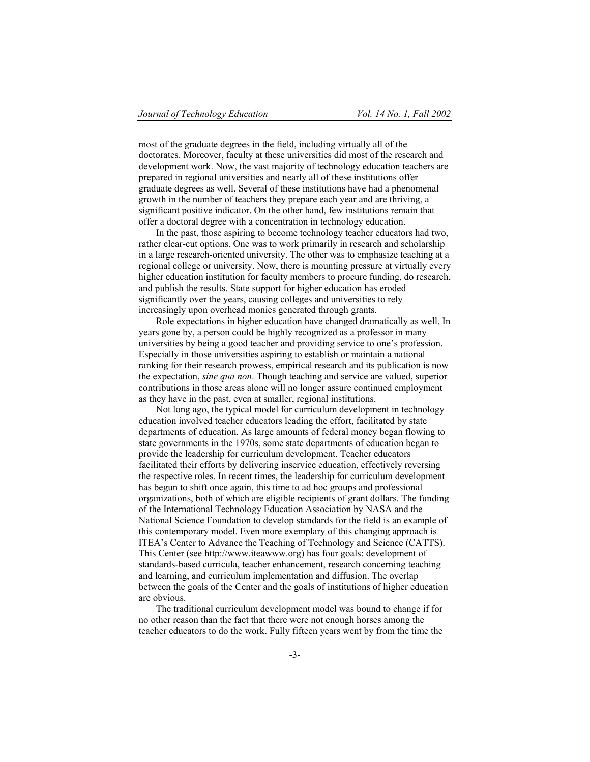most of the graduate degrees in the field, including virtually all of the doctorates. Moreover, faculty at these universities did most of the research and development work. Now, the vast majority of technology education teachers are prepared in regional universities and nearly all of these institutions offer graduate degrees as well. Several of these institutions have had a phenomenal growth in the number of teachers they prepare each year and are thriving, a significant positive indicator. On the other hand, few institutions remain that offer a doctoral degree with a concentration in technology education.

In the past, those aspiring to become technology teacher educators had two, rather clear-cut options. One was to work primarily in research and scholarship in a large research-oriented university. The other was to emphasize teaching at a regional college or university. Now, there is mounting pressure at virtually every higher education institution for faculty members to procure funding, do research, and publish the results. State support for higher education has eroded significantly over the years, causing colleges and universities to rely increasingly upon overhead monies generated through grants.

Role expectations in higher education have changed dramatically as well. In years gone by, a person could be highly recognized as a professor in many universities by being a good teacher and providing service to one's profession. Especially in those universities aspiring to establish or maintain a national ranking for their research prowess, empirical research and its publication is now the expectation, *sine qua non*. Though teaching and service are valued, superior contributions in those areas alone will no longer assure continued employment as they have in the past, even at smaller, regional institutions.

Not long ago, the typical model for curriculum development in technology education involved teacher educators leading the effort, facilitated by state departments of education. As large amounts of federal money began flowing to state governments in the 1970s, some state departments of education began to provide the leadership for curriculum development. Teacher educators facilitated their efforts by delivering inservice education, effectively reversing the respective roles. In recent times, the leadership for curriculum development has begun to shift once again, this time to ad hoc groups and professional organizations, both of which are eligible recipients of grant dollars. The funding of the International Technology Education Association by NASA and the National Science Foundation to develop standards for the field is an example of this contemporary model. Even more exemplary of this changing approach is ITEA's Center to Advance the Teaching of Technology and Science (CATTS). This Center (see http://www.iteawww.org) has four goals: development of standards-based curricula, teacher enhancement, research concerning teaching and learning, and curriculum implementation and diffusion. The overlap between the goals of the Center and the goals of institutions of higher education are obvious.

The traditional curriculum development model was bound to change if for no other reason than the fact that there were not enough horses among the teacher educators to do the work. Fully fifteen years went by from the time the